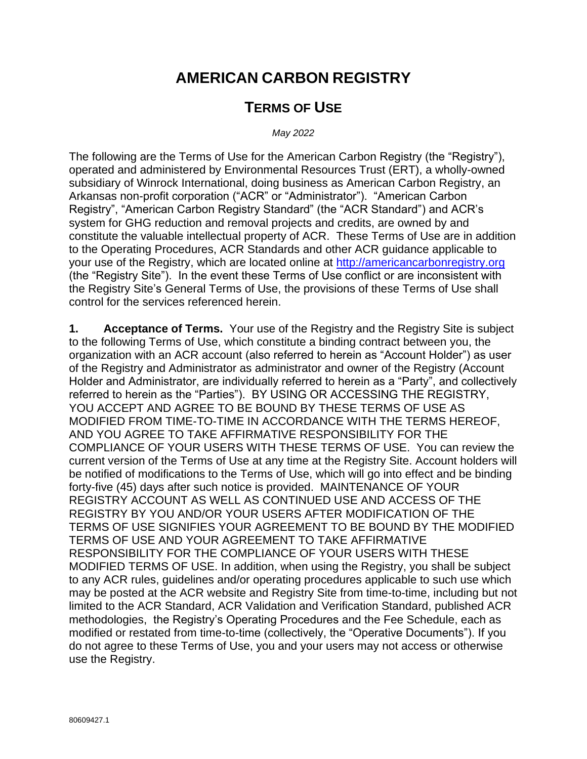# **AMERICAN CARBON REGISTRY**

## **TERMS OF USE**

*May 2022*

The following are the Terms of Use for the American Carbon Registry (the "Registry"), operated and administered by Environmental Resources Trust (ERT), a wholly-owned subsidiary of Winrock International, doing business as American Carbon Registry, an Arkansas non-profit corporation ("ACR" or "Administrator"). "American Carbon Registry", "American Carbon Registry Standard" (the "ACR Standard") and ACR's system for GHG reduction and removal projects and credits, are owned by and constitute the valuable intellectual property of ACR. These Terms of Use are in addition to the Operating Procedures, ACR Standards and other ACR guidance applicable to your use of the Registry, which are located online at [http://americancarbonregistry.org](http://americancarbonregistry.org/) (the "Registry Site"). In the event these Terms of Use conflict or are inconsistent with the Registry Site's General Terms of Use, the provisions of these Terms of Use shall control for the services referenced herein.

**1. Acceptance of Terms.** Your use of the Registry and the [Registry Site](http://vcsregistry.com/) is subject to the following Terms of Use, which constitute a binding contract between you, the organization with an ACR account (also referred to herein as "Account Holder") as user of the Registry and Administrator as administrator and owner of the Registry (Account Holder and Administrator, are individually referred to herein as a "Party", and collectively referred to herein as the "Parties"). BY USING OR ACCESSING THE REGISTRY, YOU ACCEPT AND AGREE TO BE BOUND BY THESE TERMS OF USE AS MODIFIED FROM TIME-TO-TIME IN ACCORDANCE WITH THE TERMS HEREOF, AND YOU AGREE TO TAKE AFFIRMATIVE RESPONSIBILITY FOR THE COMPLIANCE OF YOUR USERS WITH THESE TERMS OF USE. You can review the current version of the Terms of Use at any time at the [Registry Site.](http://vcsregistry.com/) Account holders will be notified of modifications to the Terms of Use, which will go into effect and be binding forty-five (45) days after such notice is provided. MAINTENANCE OF YOUR REGISTRY ACCOUNT AS WELL AS CONTINUED USE AND ACCESS OF THE REGISTRY BY YOU AND/OR YOUR USERS AFTER MODIFICATION OF THE TERMS OF USE SIGNIFIES YOUR AGREEMENT TO BE BOUND BY THE MODIFIED TERMS OF USE AND YOUR AGREEMENT TO TAKE AFFIRMATIVE RESPONSIBILITY FOR THE COMPLIANCE OF YOUR USERS WITH THESE MODIFIED TERMS OF USE. In addition, when using the Registry, you shall be subject to any ACR rules, guidelines and/or operating procedures applicable to such use which may be posted at the ACR website and [Registry Site](http://vcsregistry.com/) from time-to-time, including but not limited to the ACR Standard, ACR Validation and Verification Standard, published ACR methodologies, the Registry's Operating Procedures and the Fee Schedule, each as modified or restated from time-to-time (collectively, the "Operative Documents"). If you do not agree to these Terms of Use, you and your users may not access or otherwise use the Registry.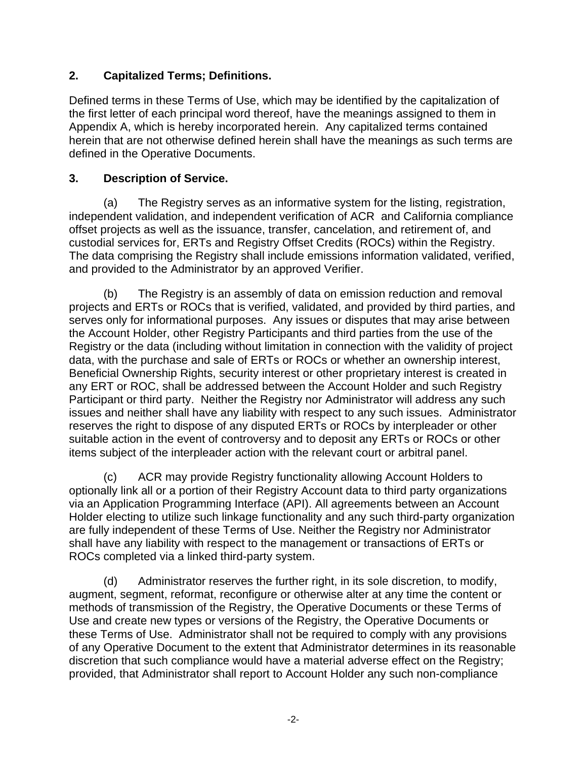#### **2. Capitalized Terms; Definitions.**

Defined terms in these Terms of Use, which may be identified by the capitalization of the first letter of each principal word thereof, have the meanings assigned to them in Appendix A, which is hereby incorporated herein. Any capitalized terms contained herein that are not otherwise defined herein shall have the meanings as such terms are defined in the Operative Documents.

#### **3. Description of Service.**

(a) The Registry serves as an informative system for the listing, registration, independent validation, and independent verification of ACR and California compliance offset projects as well as the issuance, transfer, cancelation, and retirement of, and custodial services for, ERTs and Registry Offset Credits (ROCs) within the Registry. The data comprising the Registry shall include emissions information validated, verified, and provided to the Administrator by an approved Verifier.

(b) The Registry is an assembly of data on emission reduction and removal projects and ERTs or ROCs that is verified, validated, and provided by third parties, and serves only for informational purposes. Any issues or disputes that may arise between the Account Holder, other Registry Participants and third parties from the use of the Registry or the data (including without limitation in connection with the validity of project data, with the purchase and sale of ERTs or ROCs or whether an ownership interest, Beneficial Ownership Rights, security interest or other proprietary interest is created in any ERT or ROC, shall be addressed between the Account Holder and such Registry Participant or third party. Neither the Registry nor Administrator will address any such issues and neither shall have any liability with respect to any such issues. Administrator reserves the right to dispose of any disputed ERTs or ROCs by interpleader or other suitable action in the event of controversy and to deposit any ERTs or ROCs or other items subject of the interpleader action with the relevant court or arbitral panel.

(c) ACR may provide Registry functionality allowing Account Holders to optionally link all or a portion of their Registry Account data to third party organizations via an Application Programming Interface (API). All agreements between an Account Holder electing to utilize such linkage functionality and any such third-party organization are fully independent of these Terms of Use. Neither the Registry nor Administrator shall have any liability with respect to the management or transactions of ERTs or ROCs completed via a linked third-party system.

(d) Administrator reserves the further right, in its sole discretion, to modify, augment, segment, reformat, reconfigure or otherwise alter at any time the content or methods of transmission of the Registry, the Operative Documents or these Terms of Use and create new types or versions of the Registry, the Operative Documents or these Terms of Use. Administrator shall not be required to comply with any provisions of any Operative Document to the extent that Administrator determines in its reasonable discretion that such compliance would have a material adverse effect on the Registry; provided, that Administrator shall report to Account Holder any such non-compliance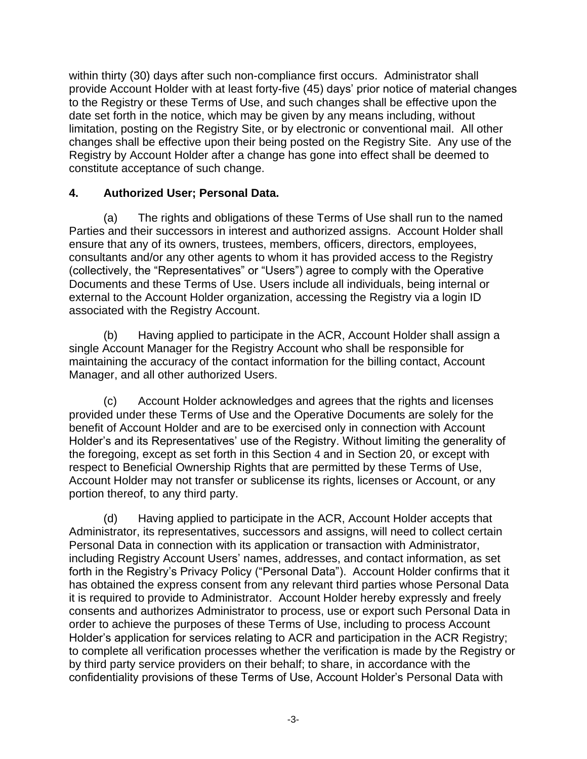within thirty (30) days after such non-compliance first occurs. Administrator shall provide Account Holder with at least forty-five (45) days' prior notice of material changes to the Registry or these Terms of Use, and such changes shall be effective upon the date set forth in the notice, which may be given by any means including, without limitation, posting on the [Registry Site,](http://vcsregistry.com/) or by electronic or conventional mail. All other changes shall be effective upon their being posted on the [Registry Site.](http://vcsregistry.com/) Any use of the Registry by Account Holder after a change has gone into effect shall be deemed to constitute acceptance of such change.

#### **4. Authorized User; Personal Data.**

(a) The rights and obligations of these Terms of Use shall run to the named Parties and their successors in interest and authorized assigns. Account Holder shall ensure that any of its owners, trustees, members, officers, directors, employees, consultants and/or any other agents to whom it has provided access to the Registry (collectively, the "Representatives" or "Users") agree to comply with the Operative Documents and these Terms of Use. Users include all individuals, being internal or external to the Account Holder organization, accessing the Registry via a login ID associated with the Registry Account.

(b) Having applied to participate in the ACR, Account Holder shall assign a single Account Manager for the Registry Account who shall be responsible for maintaining the accuracy of the contact information for the billing contact, Account Manager, and all other authorized Users.

(c) Account Holder acknowledges and agrees that the rights and licenses provided under these Terms of Use and the Operative Documents are solely for the benefit of Account Holder and are to be exercised only in connection with Account Holder's and its Representatives' use of the Registry. Without limiting the generality of the foregoing, except as set forth in this Section 4 and in Section 20, or except with respect to Beneficial Ownership Rights that are permitted by these Terms of Use, Account Holder may not transfer or sublicense its rights, licenses or Account, or any portion thereof, to any third party.

(d) Having applied to participate in the ACR, Account Holder accepts that Administrator, its representatives, successors and assigns, will need to collect certain Personal Data in connection with its application or transaction with Administrator, including Registry Account Users' names, addresses, and contact information, as set forth in the Registry's Privacy Policy ("Personal Data"). Account Holder confirms that it has obtained the express consent from any relevant third parties whose Personal Data it is required to provide to Administrator. Account Holder hereby expressly and freely consents and authorizes Administrator to process, use or export such Personal Data in order to achieve the purposes of these Terms of Use, including to process Account Holder's application for services relating to ACR and participation in the ACR Registry; to complete all verification processes whether the verification is made by the Registry or by third party service providers on their behalf; to share, in accordance with the confidentiality provisions of these Terms of Use, Account Holder's Personal Data with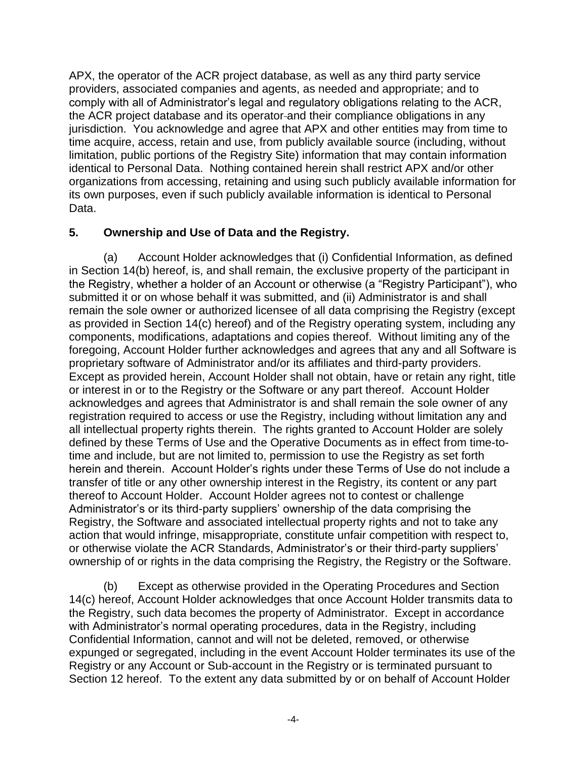APX, the operator of the ACR project database, as well as any third party service providers, associated companies and agents, as needed and appropriate; and to comply with all of Administrator's legal and regulatory obligations relating to the ACR, the ACR project database and its operator and their compliance obligations in any jurisdiction. You acknowledge and agree that APX and other entities may from time to time acquire, access, retain and use, from publicly available source (including, without limitation, public portions of the Registry Site) information that may contain information identical to Personal Data. Nothing contained herein shall restrict APX and/or other organizations from accessing, retaining and using such publicly available information for its own purposes, even if such publicly available information is identical to Personal Data.

#### **5. Ownership and Use of Data and the Registry.**

(a) Account Holder acknowledges that (i) Confidential Information, as defined in Section 14(b) hereof, is, and shall remain, the exclusive property of the participant in the Registry, whether a holder of an Account or otherwise (a "Registry Participant"), who submitted it or on whose behalf it was submitted, and (ii) Administrator is and shall remain the sole owner or authorized licensee of all data comprising the Registry (except as provided in Section 14(c) hereof) and of the Registry operating system, including any components, modifications, adaptations and copies thereof. Without limiting any of the foregoing, Account Holder further acknowledges and agrees that any and all Software is proprietary software of Administrator and/or its affiliates and third-party providers. Except as provided herein, Account Holder shall not obtain, have or retain any right, title or interest in or to the Registry or the Software or any part thereof. Account Holder acknowledges and agrees that Administrator is and shall remain the sole owner of any registration required to access or use the Registry, including without limitation any and all intellectual property rights therein. The rights granted to Account Holder are solely defined by these Terms of Use and the Operative Documents as in effect from time-totime and include, but are not limited to, permission to use the Registry as set forth herein and therein. Account Holder's rights under these Terms of Use do not include a transfer of title or any other ownership interest in the Registry, its content or any part thereof to Account Holder. Account Holder agrees not to contest or challenge Administrator's or its third-party suppliers' ownership of the data comprising the Registry, the Software and associated intellectual property rights and not to take any action that would infringe, misappropriate, constitute unfair competition with respect to, or otherwise violate the ACR Standards, Administrator's or their third-party suppliers' ownership of or rights in the data comprising the Registry, the Registry or the Software.

(b) Except as otherwise provided in the Operating Procedures and Section 14(c) hereof, Account Holder acknowledges that once Account Holder transmits data to the Registry, such data becomes the property of Administrator. Except in accordance with Administrator's normal operating procedures, data in the Registry, including Confidential Information, cannot and will not be deleted, removed, or otherwise expunged or segregated, including in the event Account Holder terminates its use of the Registry or any Account or Sub-account in the Registry or is terminated pursuant to Section 12 hereof. To the extent any data submitted by or on behalf of Account Holder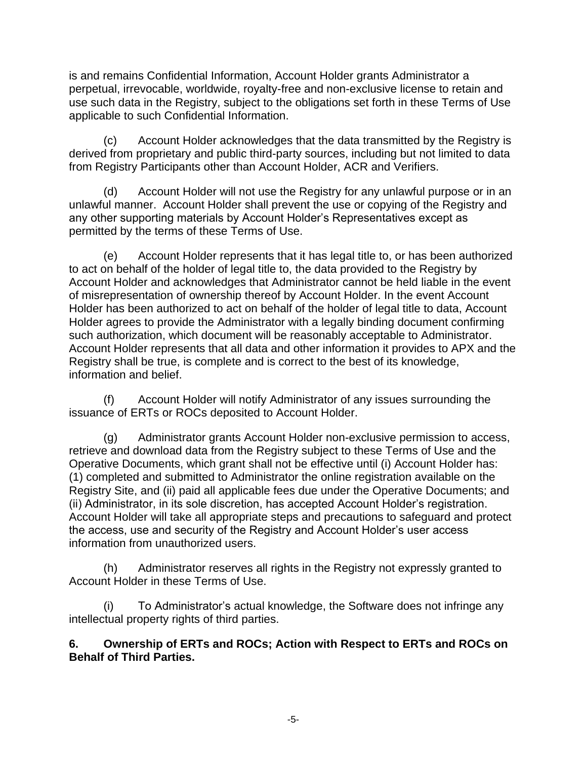is and remains Confidential Information, Account Holder grants Administrator a perpetual, irrevocable, worldwide, royalty-free and non-exclusive license to retain and use such data in the Registry, subject to the obligations set forth in these Terms of Use applicable to such Confidential Information.

(c) Account Holder acknowledges that the data transmitted by the Registry is derived from proprietary and public third-party sources, including but not limited to data from Registry Participants other than Account Holder, ACR and Verifiers.

(d) Account Holder will not use the Registry for any unlawful purpose or in an unlawful manner. Account Holder shall prevent the use or copying of the Registry and any other supporting materials by Account Holder's Representatives except as permitted by the terms of these Terms of Use.

(e) Account Holder represents that it has legal title to, or has been authorized to act on behalf of the holder of legal title to, the data provided to the Registry by Account Holder and acknowledges that Administrator cannot be held liable in the event of misrepresentation of ownership thereof by Account Holder. In the event Account Holder has been authorized to act on behalf of the holder of legal title to data, Account Holder agrees to provide the Administrator with a legally binding document confirming such authorization, which document will be reasonably acceptable to Administrator. Account Holder represents that all data and other information it provides to APX and the Registry shall be true, is complete and is correct to the best of its knowledge, information and belief.

(f) Account Holder will notify Administrator of any issues surrounding the issuance of ERTs or ROCs deposited to Account Holder.

(g) Administrator grants Account Holder non-exclusive permission to access, retrieve and download data from the Registry subject to these Terms of Use and the Operative Documents, which grant shall not be effective until (i) Account Holder has: (1) completed and submitted to Administrator the online registration available on the [Registry Site,](http://vcsregistry.com/) and (ii) paid all applicable fees due under the Operative Documents; and (ii) Administrator, in its sole discretion, has accepted Account Holder's registration. Account Holder will take all appropriate steps and precautions to safeguard and protect the access, use and security of the Registry and Account Holder's user access information from unauthorized users.

(h) Administrator reserves all rights in the Registry not expressly granted to Account Holder in these Terms of Use.

(i) To Administrator's actual knowledge, the Software does not infringe any intellectual property rights of third parties.

#### **6. Ownership of ERTs and ROCs; Action with Respect to ERTs and ROCs on Behalf of Third Parties.**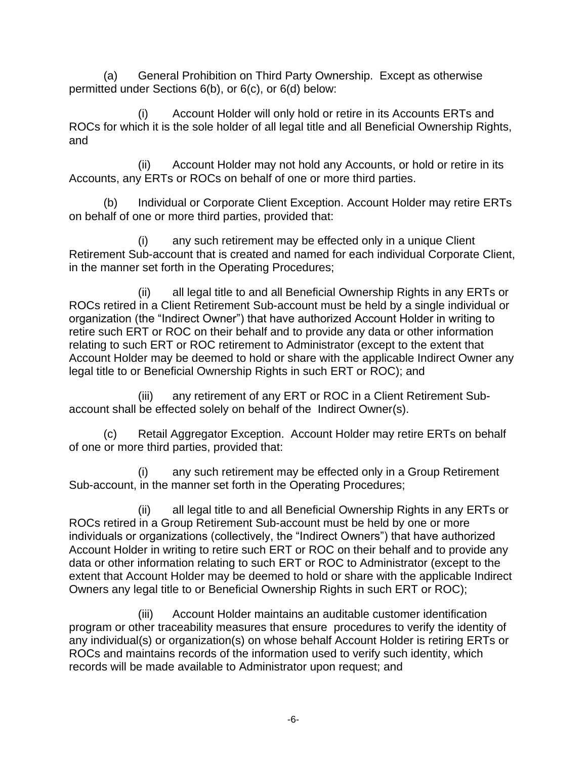(a) General Prohibition on Third Party Ownership. Except as otherwise permitted under Sections 6(b), or 6(c), or 6(d) below:

(i) Account Holder will only hold or retire in its Accounts ERTs and ROCs for which it is the sole holder of all legal title and all Beneficial Ownership Rights, and

(ii) Account Holder may not hold any Accounts, or hold or retire in its Accounts, any ERTs or ROCs on behalf of one or more third parties.

(b) Individual or Corporate Client Exception. Account Holder may retire ERTs on behalf of one or more third parties, provided that:

(i) any such retirement may be effected only in a unique Client Retirement Sub-account that is created and named for each individual Corporate Client, in the manner set forth in the Operating Procedures;

(ii) all legal title to and all Beneficial Ownership Rights in any ERTs or ROCs retired in a Client Retirement Sub-account must be held by a single individual or organization (the "Indirect Owner") that have authorized Account Holder in writing to retire such ERT or ROC on their behalf and to provide any data or other information relating to such ERT or ROC retirement to Administrator (except to the extent that Account Holder may be deemed to hold or share with the applicable Indirect Owner any legal title to or Beneficial Ownership Rights in such ERT or ROC); and

(iii) any retirement of any ERT or ROC in a Client Retirement Subaccount shall be effected solely on behalf of the Indirect Owner(s).

(c) Retail Aggregator Exception. Account Holder may retire ERTs on behalf of one or more third parties, provided that:

(i) any such retirement may be effected only in a Group Retirement Sub-account, in the manner set forth in the Operating Procedures;

(ii) all legal title to and all Beneficial Ownership Rights in any ERTs or ROCs retired in a Group Retirement Sub-account must be held by one or more individuals or organizations (collectively, the "Indirect Owners") that have authorized Account Holder in writing to retire such ERT or ROC on their behalf and to provide any data or other information relating to such ERT or ROC to Administrator (except to the extent that Account Holder may be deemed to hold or share with the applicable Indirect Owners any legal title to or Beneficial Ownership Rights in such ERT or ROC);

(iii) Account Holder maintains an auditable customer identification program or other traceability measures that ensure procedures to verify the identity of any individual(s) or organization(s) on whose behalf Account Holder is retiring ERTs or ROCs and maintains records of the information used to verify such identity, which records will be made available to Administrator upon request; and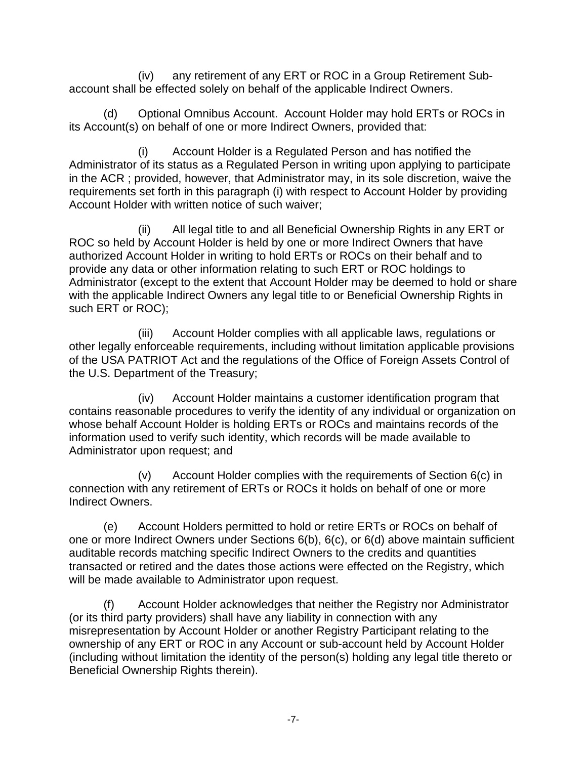(iv) any retirement of any ERT or ROC in a Group Retirement Subaccount shall be effected solely on behalf of the applicable Indirect Owners.

(d) Optional Omnibus Account. Account Holder may hold ERTs or ROCs in its Account(s) on behalf of one or more Indirect Owners, provided that:

(i) Account Holder is a Regulated Person and has notified the Administrator of its status as a Regulated Person in writing upon applying to participate in the ACR ; provided, however, that Administrator may, in its sole discretion, waive the requirements set forth in this paragraph (i) with respect to Account Holder by providing Account Holder with written notice of such waiver;

(ii) All legal title to and all Beneficial Ownership Rights in any ERT or ROC so held by Account Holder is held by one or more Indirect Owners that have authorized Account Holder in writing to hold ERTs or ROCs on their behalf and to provide any data or other information relating to such ERT or ROC holdings to Administrator (except to the extent that Account Holder may be deemed to hold or share with the applicable Indirect Owners any legal title to or Beneficial Ownership Rights in such ERT or ROC);

(iii) Account Holder complies with all applicable laws, regulations or other legally enforceable requirements, including without limitation applicable provisions of the USA PATRIOT Act and the regulations of the Office of Foreign Assets Control of the U.S. Department of the Treasury;

(iv) Account Holder maintains a customer identification program that contains reasonable procedures to verify the identity of any individual or organization on whose behalf Account Holder is holding ERTs or ROCs and maintains records of the information used to verify such identity, which records will be made available to Administrator upon request; and

(v) Account Holder complies with the requirements of Section 6(c) in connection with any retirement of ERTs or ROCs it holds on behalf of one or more Indirect Owners.

(e) Account Holders permitted to hold or retire ERTs or ROCs on behalf of one or more Indirect Owners under Sections 6(b), 6(c), or 6(d) above maintain sufficient auditable records matching specific Indirect Owners to the credits and quantities transacted or retired and the dates those actions were effected on the Registry, which will be made available to Administrator upon request.

(f) Account Holder acknowledges that neither the Registry nor Administrator (or its third party providers) shall have any liability in connection with any misrepresentation by Account Holder or another Registry Participant relating to the ownership of any ERT or ROC in any Account or sub-account held by Account Holder (including without limitation the identity of the person(s) holding any legal title thereto or Beneficial Ownership Rights therein).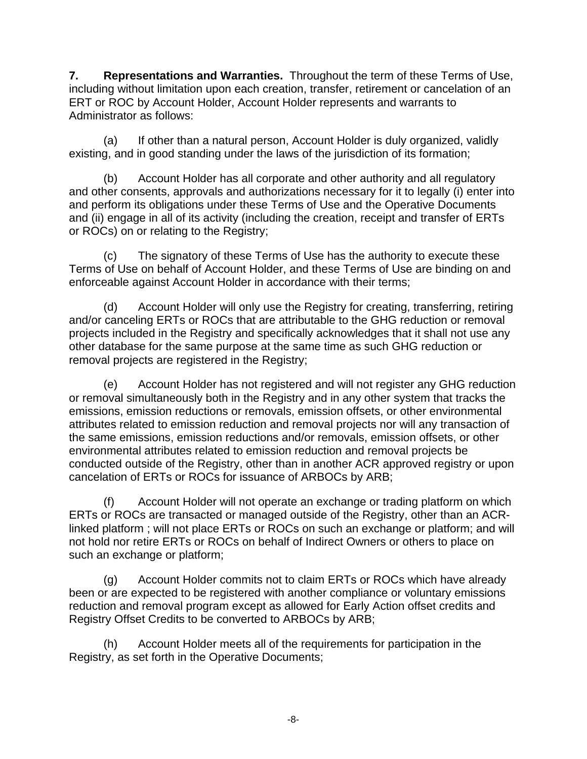**7. Representations and Warranties.** Throughout the term of these Terms of Use, including without limitation upon each creation, transfer, retirement or cancelation of an ERT or ROC by Account Holder, Account Holder represents and warrants to Administrator as follows:

(a) If other than a natural person, Account Holder is duly organized, validly existing, and in good standing under the laws of the jurisdiction of its formation;

(b) Account Holder has all corporate and other authority and all regulatory and other consents, approvals and authorizations necessary for it to legally (i) enter into and perform its obligations under these Terms of Use and the Operative Documents and (ii) engage in all of its activity (including the creation, receipt and transfer of ERTs or ROCs) on or relating to the Registry;

(c) The signatory of these Terms of Use has the authority to execute these Terms of Use on behalf of Account Holder, and these Terms of Use are binding on and enforceable against Account Holder in accordance with their terms;

(d) Account Holder will only use the Registry for creating, transferring, retiring and/or canceling ERTs or ROCs that are attributable to the GHG reduction or removal projects included in the Registry and specifically acknowledges that it shall not use any other database for the same purpose at the same time as such GHG reduction or removal projects are registered in the Registry;

(e) Account Holder has not registered and will not register any GHG reduction or removal simultaneously both in the Registry and in any other system that tracks the emissions, emission reductions or removals, emission offsets, or other environmental attributes related to emission reduction and removal projects nor will any transaction of the same emissions, emission reductions and/or removals, emission offsets, or other environmental attributes related to emission reduction and removal projects be conducted outside of the Registry, other than in another ACR approved registry or upon cancelation of ERTs or ROCs for issuance of ARBOCs by ARB;

(f) Account Holder will not operate an exchange or trading platform on which ERTs or ROCs are transacted or managed outside of the Registry, other than an ACRlinked platform ; will not place ERTs or ROCs on such an exchange or platform; and will not hold nor retire ERTs or ROCs on behalf of Indirect Owners or others to place on such an exchange or platform;

(g) Account Holder commits not to claim ERTs or ROCs which have already been or are expected to be registered with another compliance or voluntary emissions reduction and removal program except as allowed for Early Action offset credits and Registry Offset Credits to be converted to ARBOCs by ARB;

(h) Account Holder meets all of the requirements for participation in the Registry, as set forth in the Operative Documents;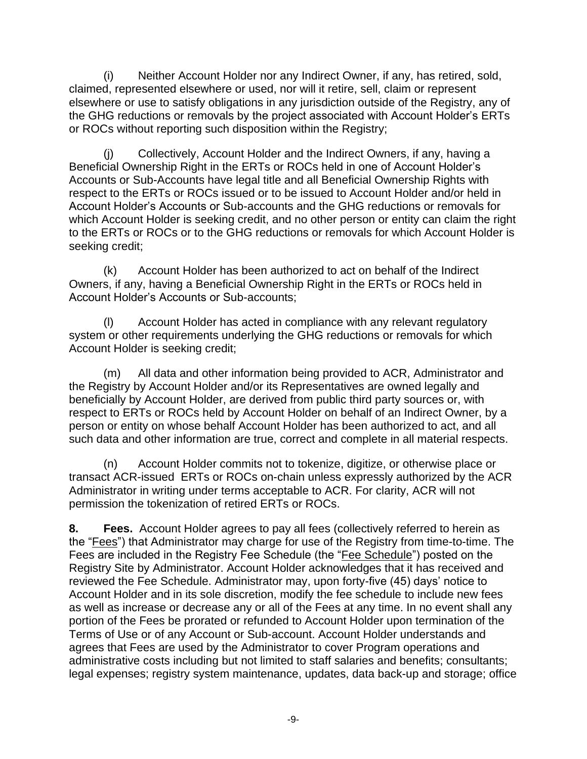(i) Neither Account Holder nor any Indirect Owner, if any, has retired, sold, claimed, represented elsewhere or used, nor will it retire, sell, claim or represent elsewhere or use to satisfy obligations in any jurisdiction outside of the Registry, any of the GHG reductions or removals by the project associated with Account Holder's ERTs or ROCs without reporting such disposition within the Registry;

(j) Collectively, Account Holder and the Indirect Owners, if any, having a Beneficial Ownership Right in the ERTs or ROCs held in one of Account Holder's Accounts or Sub-Accounts have legal title and all Beneficial Ownership Rights with respect to the ERTs or ROCs issued or to be issued to Account Holder and/or held in Account Holder's Accounts or Sub-accounts and the GHG reductions or removals for which Account Holder is seeking credit, and no other person or entity can claim the right to the ERTs or ROCs or to the GHG reductions or removals for which Account Holder is seeking credit;

(k) Account Holder has been authorized to act on behalf of the Indirect Owners, if any, having a Beneficial Ownership Right in the ERTs or ROCs held in Account Holder's Accounts or Sub-accounts;

(l) Account Holder has acted in compliance with any relevant regulatory system or other requirements underlying the GHG reductions or removals for which Account Holder is seeking credit;

(m) All data and other information being provided to ACR, Administrator and the Registry by Account Holder and/or its Representatives are owned legally and beneficially by Account Holder, are derived from public third party sources or, with respect to ERTs or ROCs held by Account Holder on behalf of an Indirect Owner, by a person or entity on whose behalf Account Holder has been authorized to act, and all such data and other information are true, correct and complete in all material respects.

(n) Account Holder commits not to tokenize, digitize, or otherwise place or transact ACR-issued ERTs or ROCs on-chain unless expressly authorized by the ACR Administrator in writing under terms acceptable to ACR. For clarity, ACR will not permission the tokenization of retired ERTs or ROCs.

**8. Fees.** Account Holder agrees to pay all fees (collectively referred to herein as the "Fees") that Administrator may charge for use of the Registry from time-to-time. The Fees are included in the Registry Fee Schedule (the "Fee Schedule") posted on the [Registry Site](http://vcsregistry.com/) by Administrator. Account Holder acknowledges that it has received and reviewed the Fee Schedule. Administrator may, upon forty-five (45) days' notice to Account Holder and in its sole discretion, modify the fee schedule to include new fees as well as increase or decrease any or all of the Fees at any time. In no event shall any portion of the Fees be prorated or refunded to Account Holder upon termination of the Terms of Use or of any Account or Sub-account. Account Holder understands and agrees that Fees are used by the Administrator to cover Program operations and administrative costs including but not limited to staff salaries and benefits; consultants; legal expenses; registry system maintenance, updates, data back-up and storage; office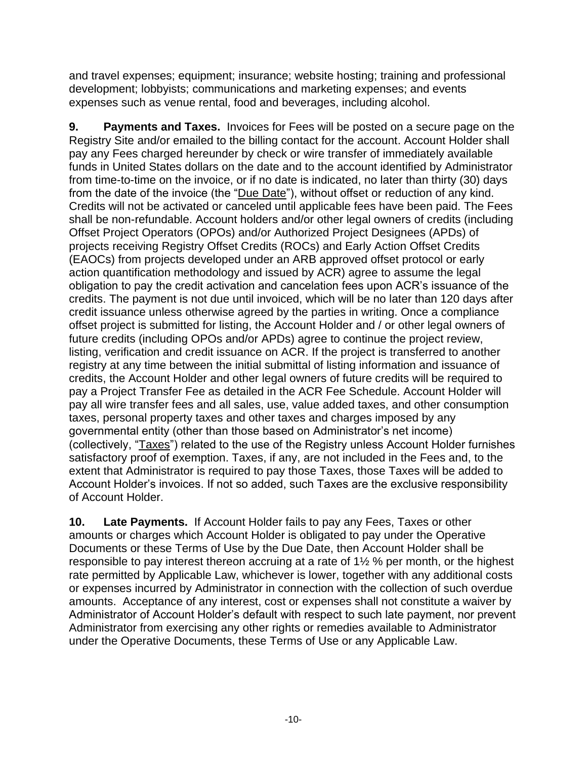and travel expenses; equipment; insurance; website hosting; training and professional development; lobbyists; communications and marketing expenses; and events expenses such as venue rental, food and beverages, including alcohol.

**9. Payments and Taxes.** Invoices for Fees will be posted on a secure page on the [Registry Site](http://vcsregistry.com/) and/or emailed to the billing contact for the account. Account Holder shall pay any Fees charged hereunder by check or wire transfer of immediately available funds in United States dollars on the date and to the account identified by Administrator from time-to-time on the invoice, or if no date is indicated, no later than thirty (30) days from the date of the invoice (the "Due Date"), without offset or reduction of any kind. Credits will not be activated or canceled until applicable fees have been paid. The Fees shall be non-refundable. Account holders and/or other legal owners of credits (including Offset Project Operators (OPOs) and/or Authorized Project Designees (APDs) of projects receiving Registry Offset Credits (ROCs) and Early Action Offset Credits (EAOCs) from projects developed under an ARB approved offset protocol or early action quantification methodology and issued by ACR) agree to assume the legal obligation to pay the credit activation and cancelation fees upon ACR's issuance of the credits. The payment is not due until invoiced, which will be no later than 120 days after credit issuance unless otherwise agreed by the parties in writing. Once a compliance offset project is submitted for listing, the Account Holder and / or other legal owners of future credits (including OPOs and/or APDs) agree to continue the project review, listing, verification and credit issuance on ACR. If the project is transferred to another registry at any time between the initial submittal of listing information and issuance of credits, the Account Holder and other legal owners of future credits will be required to pay a Project Transfer Fee as detailed in the ACR Fee Schedule. Account Holder will pay all wire transfer fees and all sales, use, value added taxes, and other consumption taxes, personal property taxes and other taxes and charges imposed by any governmental entity (other than those based on Administrator's net income) (collectively, "Taxes") related to the use of the Registry unless Account Holder furnishes satisfactory proof of exemption. Taxes, if any, are not included in the Fees and, to the extent that Administrator is required to pay those Taxes, those Taxes will be added to Account Holder's invoices. If not so added, such Taxes are the exclusive responsibility of Account Holder.

**10. Late Payments.** If Account Holder fails to pay any Fees, Taxes or other amounts or charges which Account Holder is obligated to pay under the Operative Documents or these Terms of Use by the Due Date, then Account Holder shall be responsible to pay interest thereon accruing at a rate of 1½ % per month, or the highest rate permitted by Applicable Law, whichever is lower, together with any additional costs or expenses incurred by Administrator in connection with the collection of such overdue amounts. Acceptance of any interest, cost or expenses shall not constitute a waiver by Administrator of Account Holder's default with respect to such late payment, nor prevent Administrator from exercising any other rights or remedies available to Administrator under the Operative Documents, these Terms of Use or any Applicable Law.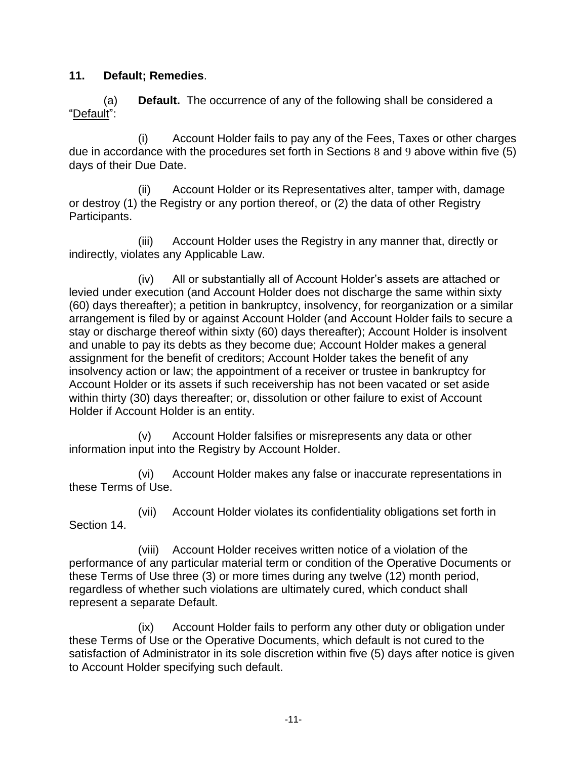#### **11. Default; Remedies**.

(a) **Default.** The occurrence of any of the following shall be considered a "Default":

(i) Account Holder fails to pay any of the Fees, Taxes or other charges due in accordance with the procedures set forth in Sections 8 and 9 above within five (5) days of their Due Date.

(ii) Account Holder or its Representatives alter, tamper with, damage or destroy (1) the Registry or any portion thereof, or (2) the data of other Registry Participants.

(iii) Account Holder uses the Registry in any manner that, directly or indirectly, violates any Applicable Law.

(iv) All or substantially all of Account Holder's assets are attached or levied under execution (and Account Holder does not discharge the same within sixty (60) days thereafter); a petition in bankruptcy, insolvency, for reorganization or a similar arrangement is filed by or against Account Holder (and Account Holder fails to secure a stay or discharge thereof within sixty (60) days thereafter); Account Holder is insolvent and unable to pay its debts as they become due; Account Holder makes a general assignment for the benefit of creditors; Account Holder takes the benefit of any insolvency action or law; the appointment of a receiver or trustee in bankruptcy for Account Holder or its assets if such receivership has not been vacated or set aside within thirty (30) days thereafter; or, dissolution or other failure to exist of Account Holder if Account Holder is an entity.

(v) Account Holder falsifies or misrepresents any data or other information input into the Registry by Account Holder.

(vi) Account Holder makes any false or inaccurate representations in these Terms of Use.

(vii) Account Holder violates its confidentiality obligations set forth in Section 14.

(viii) Account Holder receives written notice of a violation of the performance of any particular material term or condition of the Operative Documents or these Terms of Use three (3) or more times during any twelve (12) month period, regardless of whether such violations are ultimately cured, which conduct shall represent a separate Default.

(ix) Account Holder fails to perform any other duty or obligation under these Terms of Use or the Operative Documents, which default is not cured to the satisfaction of Administrator in its sole discretion within five (5) days after notice is given to Account Holder specifying such default.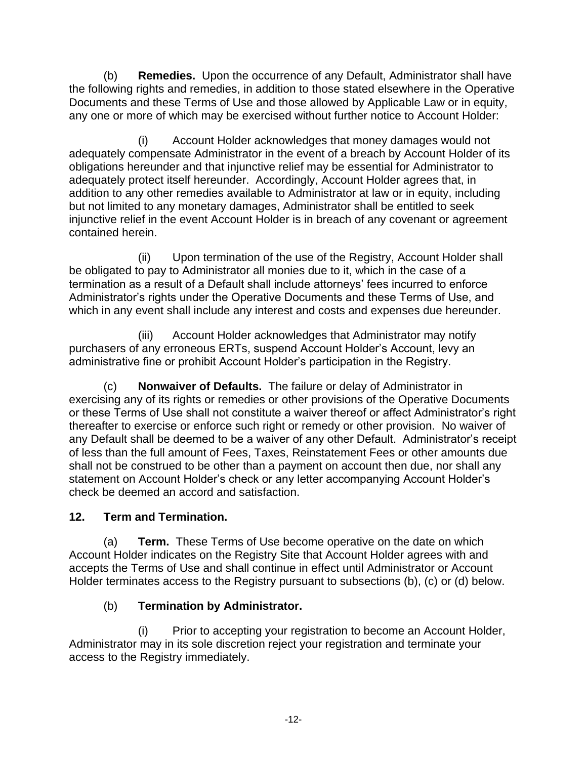(b) **Remedies.** Upon the occurrence of any Default, Administrator shall have the following rights and remedies, in addition to those stated elsewhere in the Operative Documents and these Terms of Use and those allowed by Applicable Law or in equity, any one or more of which may be exercised without further notice to Account Holder:

(i) Account Holder acknowledges that money damages would not adequately compensate Administrator in the event of a breach by Account Holder of its obligations hereunder and that injunctive relief may be essential for Administrator to adequately protect itself hereunder. Accordingly, Account Holder agrees that, in addition to any other remedies available to Administrator at law or in equity, including but not limited to any monetary damages, Administrator shall be entitled to seek injunctive relief in the event Account Holder is in breach of any covenant or agreement contained herein.

(ii) Upon termination of the use of the Registry, Account Holder shall be obligated to pay to Administrator all monies due to it, which in the case of a termination as a result of a Default shall include attorneys' fees incurred to enforce Administrator's rights under the Operative Documents and these Terms of Use, and which in any event shall include any interest and costs and expenses due hereunder.

(iii) Account Holder acknowledges that Administrator may notify purchasers of any erroneous ERTs, suspend Account Holder's Account, levy an administrative fine or prohibit Account Holder's participation in the Registry.

(c) **Nonwaiver of Defaults.** The failure or delay of Administrator in exercising any of its rights or remedies or other provisions of the Operative Documents or these Terms of Use shall not constitute a waiver thereof or affect Administrator's right thereafter to exercise or enforce such right or remedy or other provision. No waiver of any Default shall be deemed to be a waiver of any other Default. Administrator's receipt of less than the full amount of Fees, Taxes, Reinstatement Fees or other amounts due shall not be construed to be other than a payment on account then due, nor shall any statement on Account Holder's check or any letter accompanying Account Holder's check be deemed an accord and satisfaction.

## **12. Term and Termination.**

(a) **Term.** These Terms of Use become operative on the date on which Account Holder indicates on the [Registry Site](http://vcsregistry.com/) that Account Holder agrees with and accepts the Terms of Use and shall continue in effect until Administrator or Account Holder terminates access to the Registry pursuant to subsections (b), (c) or (d) below.

## (b) **Termination by Administrator.**

(i) Prior to accepting your registration to become an Account Holder, Administrator may in its sole discretion reject your registration and terminate your access to the Registry immediately.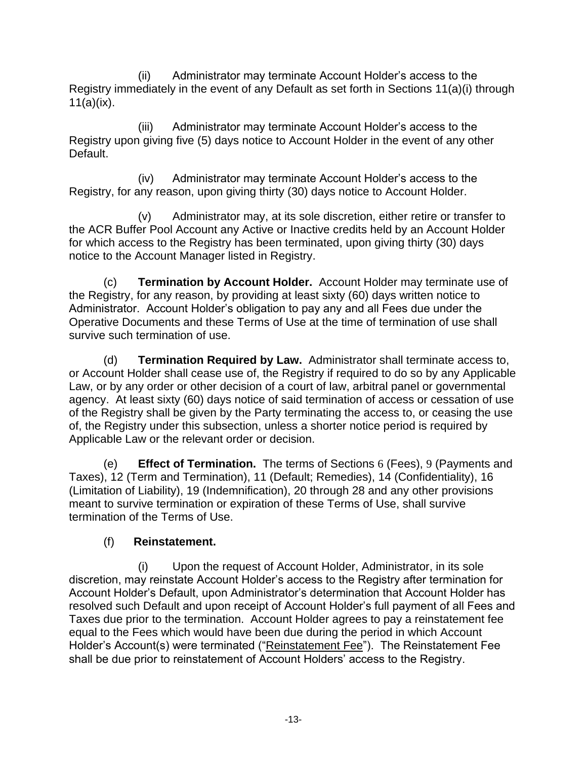(ii) Administrator may terminate Account Holder's access to the Registry immediately in the event of any Default as set forth in Sections 11(a)(i) through  $11(a)(ix)$ .

(iii) Administrator may terminate Account Holder's access to the Registry upon giving five (5) days notice to Account Holder in the event of any other Default.

(iv) Administrator may terminate Account Holder's access to the Registry, for any reason, upon giving thirty (30) days notice to Account Holder.

(v) Administrator may, at its sole discretion, either retire or transfer to the ACR Buffer Pool Account any Active or Inactive credits held by an Account Holder for which access to the Registry has been terminated, upon giving thirty (30) days notice to the Account Manager listed in Registry.

(c) **Termination by Account Holder.** Account Holder may terminate use of the Registry, for any reason, by providing at least sixty (60) days written notice to Administrator. Account Holder's obligation to pay any and all Fees due under the Operative Documents and these Terms of Use at the time of termination of use shall survive such termination of use.

(d) **Termination Required by Law.** Administrator shall terminate access to, or Account Holder shall cease use of, the Registry if required to do so by any Applicable Law, or by any order or other decision of a court of law, arbitral panel or governmental agency. At least sixty (60) days notice of said termination of access or cessation of use of the Registry shall be given by the Party terminating the access to, or ceasing the use of, the Registry under this subsection, unless a shorter notice period is required by Applicable Law or the relevant order or decision.

(e) **Effect of Termination.** The terms of Sections 6 (Fees), 9 (Payments and Taxes), 12 (Term and Termination), 11 (Default; Remedies), 14 (Confidentiality), 16 (Limitation of Liability), 19 (Indemnification), 20 through 28 and any other provisions meant to survive termination or expiration of these Terms of Use, shall survive termination of the Terms of Use.

## (f) **Reinstatement.**

(i) Upon the request of Account Holder, Administrator, in its sole discretion, may reinstate Account Holder's access to the Registry after termination for Account Holder's Default, upon Administrator's determination that Account Holder has resolved such Default and upon receipt of Account Holder's full payment of all Fees and Taxes due prior to the termination. Account Holder agrees to pay a reinstatement fee equal to the Fees which would have been due during the period in which Account Holder's Account(s) were terminated ("Reinstatement Fee"). The Reinstatement Fee shall be due prior to reinstatement of Account Holders' access to the Registry.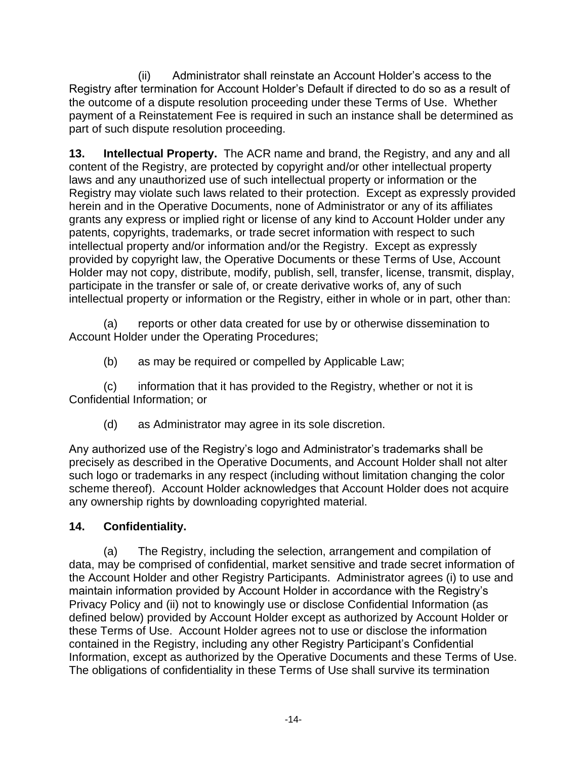(ii) Administrator shall reinstate an Account Holder's access to the Registry after termination for Account Holder's Default if directed to do so as a result of the outcome of a dispute resolution proceeding under these Terms of Use. Whether payment of a Reinstatement Fee is required in such an instance shall be determined as part of such dispute resolution proceeding.

**13. Intellectual Property.** The ACR name and brand, the Registry, and any and all content of the Registry, are protected by copyright and/or other intellectual property laws and any unauthorized use of such intellectual property or information or the Registry may violate such laws related to their protection. Except as expressly provided herein and in the Operative Documents, none of Administrator or any of its affiliates grants any express or implied right or license of any kind to Account Holder under any patents, copyrights, trademarks, or trade secret information with respect to such intellectual property and/or information and/or the Registry. Except as expressly provided by copyright law, the Operative Documents or these Terms of Use, Account Holder may not copy, distribute, modify, publish, sell, transfer, license, transmit, display, participate in the transfer or sale of, or create derivative works of, any of such intellectual property or information or the Registry, either in whole or in part, other than:

(a) reports or other data created for use by or otherwise dissemination to Account Holder under the Operating Procedures;

(b) as may be required or compelled by Applicable Law;

(c) information that it has provided to the Registry, whether or not it is Confidential Information; or

(d) as Administrator may agree in its sole discretion.

Any authorized use of the Registry's logo and Administrator's trademarks shall be precisely as described in the Operative Documents, and Account Holder shall not alter such logo or trademarks in any respect (including without limitation changing the color scheme thereof). Account Holder acknowledges that Account Holder does not acquire any ownership rights by downloading copyrighted material.

## **14. Confidentiality.**

(a) The Registry, including the selection, arrangement and compilation of data, may be comprised of confidential, market sensitive and trade secret information of the Account Holder and other Registry Participants. Administrator agrees (i) to use and maintain information provided by Account Holder in accordance with the Registry's Privacy Policy and (ii) not to knowingly use or disclose Confidential Information (as defined below) provided by Account Holder except as authorized by Account Holder or these Terms of Use. Account Holder agrees not to use or disclose the information contained in the Registry, including any other Registry Participant's Confidential Information, except as authorized by the Operative Documents and these Terms of Use. The obligations of confidentiality in these Terms of Use shall survive its termination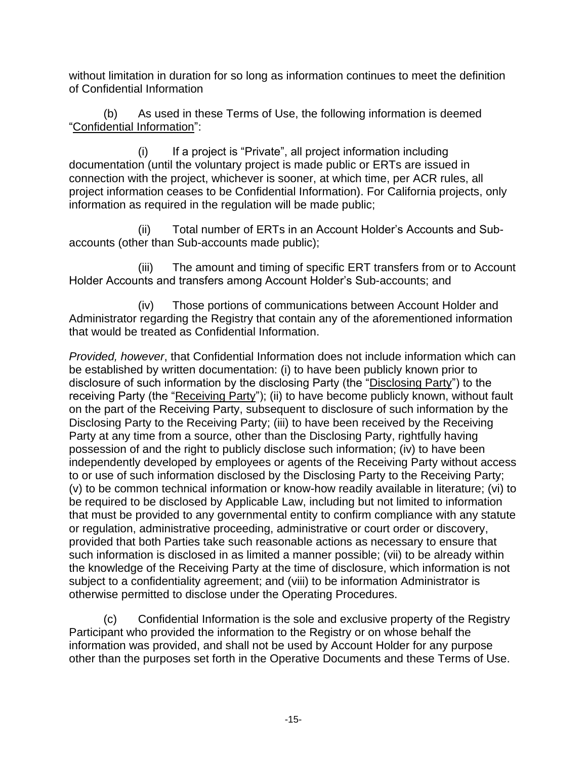without limitation in duration for so long as information continues to meet the definition of Confidential Information

(b) As used in these Terms of Use, the following information is deemed "Confidential Information":

(i) If a project is "Private", all project information including documentation (until the voluntary project is made public or ERTs are issued in connection with the project, whichever is sooner, at which time, per ACR rules, all project information ceases to be Confidential Information). For California projects, only information as required in the regulation will be made public;

(ii) Total number of ERTs in an Account Holder's Accounts and Subaccounts (other than Sub-accounts made public);

(iii) The amount and timing of specific ERT transfers from or to Account Holder Accounts and transfers among Account Holder's Sub-accounts; and

(iv) Those portions of communications between Account Holder and Administrator regarding the Registry that contain any of the aforementioned information that would be treated as Confidential Information.

*Provided, however*, that Confidential Information does not include information which can be established by written documentation: (i) to have been publicly known prior to disclosure of such information by the disclosing Party (the "Disclosing Party") to the receiving Party (the "Receiving Party"); (ii) to have become publicly known, without fault on the part of the Receiving Party, subsequent to disclosure of such information by the Disclosing Party to the Receiving Party; (iii) to have been received by the Receiving Party at any time from a source, other than the Disclosing Party, rightfully having possession of and the right to publicly disclose such information; (iv) to have been independently developed by employees or agents of the Receiving Party without access to or use of such information disclosed by the Disclosing Party to the Receiving Party; (v) to be common technical information or know-how readily available in literature; (vi) to be required to be disclosed by Applicable Law, including but not limited to information that must be provided to any governmental entity to confirm compliance with any statute or regulation, administrative proceeding, administrative or court order or discovery, provided that both Parties take such reasonable actions as necessary to ensure that such information is disclosed in as limited a manner possible; (vii) to be already within the knowledge of the Receiving Party at the time of disclosure, which information is not subject to a confidentiality agreement; and (viii) to be information Administrator is otherwise permitted to disclose under the Operating Procedures.

(c) Confidential Information is the sole and exclusive property of the Registry Participant who provided the information to the Registry or on whose behalf the information was provided, and shall not be used by Account Holder for any purpose other than the purposes set forth in the Operative Documents and these Terms of Use.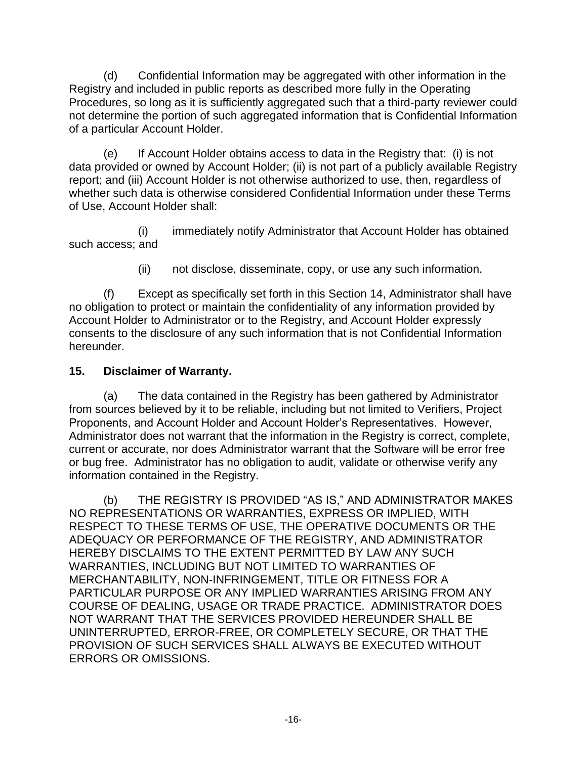(d) Confidential Information may be aggregated with other information in the Registry and included in public reports as described more fully in the Operating Procedures, so long as it is sufficiently aggregated such that a third-party reviewer could not determine the portion of such aggregated information that is Confidential Information of a particular Account Holder.

(e) If Account Holder obtains access to data in the Registry that: (i) is not data provided or owned by Account Holder; (ii) is not part of a publicly available Registry report; and (iii) Account Holder is not otherwise authorized to use, then, regardless of whether such data is otherwise considered Confidential Information under these Terms of Use, Account Holder shall:

(i) immediately notify Administrator that Account Holder has obtained such access; and

(ii) not disclose, disseminate, copy, or use any such information.

(f) Except as specifically set forth in this Section 14, Administrator shall have no obligation to protect or maintain the confidentiality of any information provided by Account Holder to Administrator or to the Registry, and Account Holder expressly consents to the disclosure of any such information that is not Confidential Information hereunder.

#### **15. Disclaimer of Warranty.**

(a) The data contained in the Registry has been gathered by Administrator from sources believed by it to be reliable, including but not limited to Verifiers, Project Proponents, and Account Holder and Account Holder's Representatives. However, Administrator does not warrant that the information in the Registry is correct, complete, current or accurate, nor does Administrator warrant that the Software will be error free or bug free. Administrator has no obligation to audit, validate or otherwise verify any information contained in the Registry.

(b) THE REGISTRY IS PROVIDED "AS IS," AND ADMINISTRATOR MAKES NO REPRESENTATIONS OR WARRANTIES, EXPRESS OR IMPLIED, WITH RESPECT TO THESE TERMS OF USE, THE OPERATIVE DOCUMENTS OR THE ADEQUACY OR PERFORMANCE OF THE REGISTRY, AND ADMINISTRATOR HEREBY DISCLAIMS TO THE EXTENT PERMITTED BY LAW ANY SUCH WARRANTIES, INCLUDING BUT NOT LIMITED TO WARRANTIES OF MERCHANTABILITY, NON-INFRINGEMENT, TITLE OR FITNESS FOR A PARTICULAR PURPOSE OR ANY IMPLIED WARRANTIES ARISING FROM ANY COURSE OF DEALING, USAGE OR TRADE PRACTICE. ADMINISTRATOR DOES NOT WARRANT THAT THE SERVICES PROVIDED HEREUNDER SHALL BE UNINTERRUPTED, ERROR-FREE, OR COMPLETELY SECURE, OR THAT THE PROVISION OF SUCH SERVICES SHALL ALWAYS BE EXECUTED WITHOUT ERRORS OR OMISSIONS.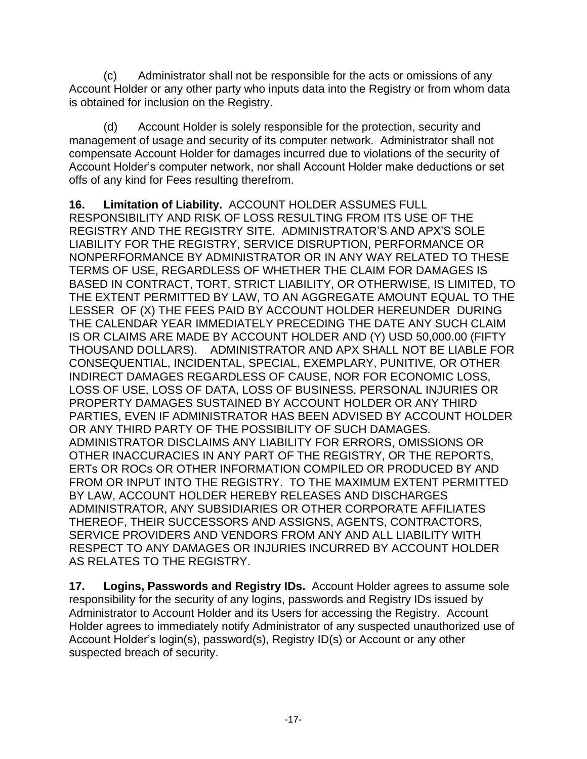(c) Administrator shall not be responsible for the acts or omissions of any Account Holder or any other party who inputs data into the Registry or from whom data is obtained for inclusion on the Registry.

(d) Account Holder is solely responsible for the protection, security and management of usage and security of its computer network. Administrator shall not compensate Account Holder for damages incurred due to violations of the security of Account Holder's computer network, nor shall Account Holder make deductions or set offs of any kind for Fees resulting therefrom.

**16. Limitation of Liability.** ACCOUNT HOLDER ASSUMES FULL RESPONSIBILITY AND RISK OF LOSS RESULTING FROM ITS USE OF THE REGISTRY AND THE REGISTRY SITE. ADMINISTRATOR'S AND APX'S SOLE LIABILITY FOR THE REGISTRY, SERVICE DISRUPTION, PERFORMANCE OR NONPERFORMANCE BY ADMINISTRATOR OR IN ANY WAY RELATED TO THESE TERMS OF USE, REGARDLESS OF WHETHER THE CLAIM FOR DAMAGES IS BASED IN CONTRACT, TORT, STRICT LIABILITY, OR OTHERWISE, IS LIMITED, TO THE EXTENT PERMITTED BY LAW, TO AN AGGREGATE AMOUNT EQUAL TO THE LESSER OF (X) THE FEES PAID BY ACCOUNT HOLDER HEREUNDER DURING THE CALENDAR YEAR IMMEDIATELY PRECEDING THE DATE ANY SUCH CLAIM IS OR CLAIMS ARE MADE BY ACCOUNT HOLDER AND (Y) USD 50,000.00 (FIFTY THOUSAND DOLLARS). ADMINISTRATOR AND APX SHALL NOT BE LIABLE FOR CONSEQUENTIAL, INCIDENTAL, SPECIAL, EXEMPLARY, PUNITIVE, OR OTHER INDIRECT DAMAGES REGARDLESS OF CAUSE, NOR FOR ECONOMIC LOSS, LOSS OF USE, LOSS OF DATA, LOSS OF BUSINESS, PERSONAL INJURIES OR PROPERTY DAMAGES SUSTAINED BY ACCOUNT HOLDER OR ANY THIRD PARTIES, EVEN IF ADMINISTRATOR HAS BEEN ADVISED BY ACCOUNT HOLDER OR ANY THIRD PARTY OF THE POSSIBILITY OF SUCH DAMAGES. ADMINISTRATOR DISCLAIMS ANY LIABILITY FOR ERRORS, OMISSIONS OR OTHER INACCURACIES IN ANY PART OF THE REGISTRY, OR THE REPORTS, ERTs OR ROCs OR OTHER INFORMATION COMPILED OR PRODUCED BY AND FROM OR INPUT INTO THE REGISTRY. TO THE MAXIMUM EXTENT PERMITTED BY LAW, ACCOUNT HOLDER HEREBY RELEASES AND DISCHARGES ADMINISTRATOR, ANY SUBSIDIARIES OR OTHER CORPORATE AFFILIATES THEREOF, THEIR SUCCESSORS AND ASSIGNS, AGENTS, CONTRACTORS, SERVICE PROVIDERS AND VENDORS FROM ANY AND ALL LIABILITY WITH RESPECT TO ANY DAMAGES OR INJURIES INCURRED BY ACCOUNT HOLDER AS RELATES TO THE REGISTRY.

**17. Logins, Passwords and Registry IDs.** Account Holder agrees to assume sole responsibility for the security of any logins, passwords and Registry IDs issued by Administrator to Account Holder and its Users for accessing the Registry. Account Holder agrees to immediately notify Administrator of any suspected unauthorized use of Account Holder's login(s), password(s), Registry ID(s) or Account or any other suspected breach of security.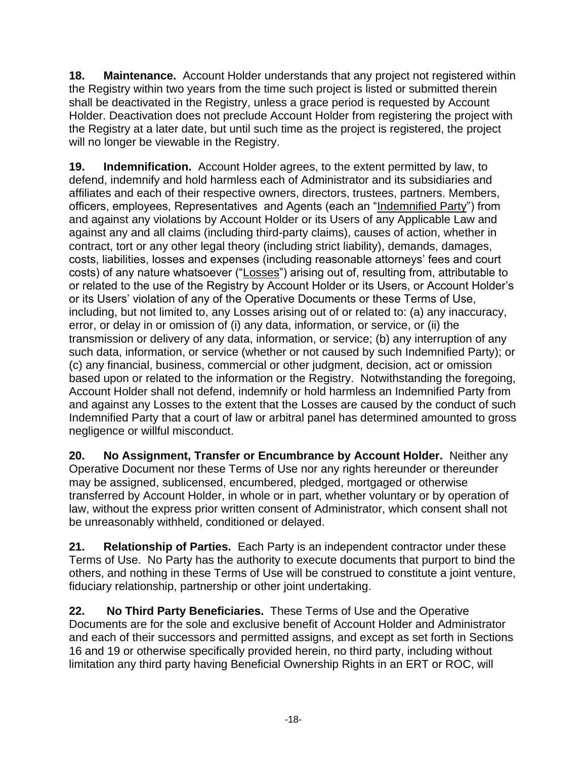**18. Maintenance.** Account Holder understands that any project not registered within the Registry within two years from the time such project is listed or submitted therein shall be deactivated in the Registry, unless a grace period is requested by Account Holder. Deactivation does not preclude Account Holder from registering the project with the Registry at a later date, but until such time as the project is registered, the project will no longer be viewable in the Registry.

**19. Indemnification.** Account Holder agrees, to the extent permitted by law, to defend, indemnify and hold harmless each of Administrator and its subsidiaries and affiliates and each of their respective owners, directors, trustees, partners. Members, officers, employees, Representatives and Agents (each an "Indemnified Party") from and against any violations by Account Holder or its Users of any Applicable Law and against any and all claims (including third-party claims), causes of action, whether in contract, tort or any other legal theory (including strict liability), demands, damages, costs, liabilities, losses and expenses (including reasonable attorneys' fees and court costs) of any nature whatsoever ("Losses") arising out of, resulting from, attributable to or related to the use of the Registry by Account Holder or its Users, or Account Holder's or its Users' violation of any of the Operative Documents or these Terms of Use, including, but not limited to, any Losses arising out of or related to: (a) any inaccuracy, error, or delay in or omission of (i) any data, information, or service, or (ii) the transmission or delivery of any data, information, or service; (b) any interruption of any such data, information, or service (whether or not caused by such Indemnified Party); or (c) any financial, business, commercial or other judgment, decision, act or omission based upon or related to the information or the Registry. Notwithstanding the foregoing, Account Holder shall not defend, indemnify or hold harmless an Indemnified Party from and against any Losses to the extent that the Losses are caused by the conduct of such Indemnified Party that a court of law or arbitral panel has determined amounted to gross negligence or willful misconduct.

**20. No Assignment, Transfer or Encumbrance by Account Holder.** Neither any Operative Document nor these Terms of Use nor any rights hereunder or thereunder may be assigned, sublicensed, encumbered, pledged, mortgaged or otherwise transferred by Account Holder, in whole or in part, whether voluntary or by operation of law, without the express prior written consent of Administrator, which consent shall not be unreasonably withheld, conditioned or delayed.

**21. Relationship of Parties.** Each Party is an independent contractor under these Terms of Use. No Party has the authority to execute documents that purport to bind the others, and nothing in these Terms of Use will be construed to constitute a joint venture, fiduciary relationship, partnership or other joint undertaking.

**22. No Third Party Beneficiaries.** These Terms of Use and the Operative Documents are for the sole and exclusive benefit of Account Holder and Administrator and each of their successors and permitted assigns, and except as set forth in Sections 16 and 19 or otherwise specifically provided herein, no third party, including without limitation any third party having Beneficial Ownership Rights in an ERT or ROC, will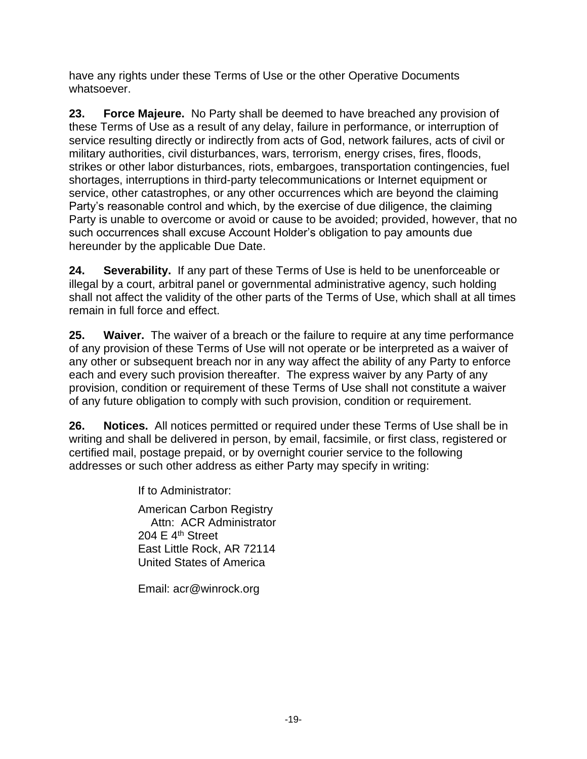have any rights under these Terms of Use or the other Operative Documents whatsoever.

**23. Force Majeure.** No Party shall be deemed to have breached any provision of these Terms of Use as a result of any delay, failure in performance, or interruption of service resulting directly or indirectly from acts of God, network failures, acts of civil or military authorities, civil disturbances, wars, terrorism, energy crises, fires, floods, strikes or other labor disturbances, riots, embargoes, transportation contingencies, fuel shortages, interruptions in third-party telecommunications or Internet equipment or service, other catastrophes, or any other occurrences which are beyond the claiming Party's reasonable control and which, by the exercise of due diligence, the claiming Party is unable to overcome or avoid or cause to be avoided; provided, however, that no such occurrences shall excuse Account Holder's obligation to pay amounts due hereunder by the applicable Due Date.

**24. Severability.** If any part of these Terms of Use is held to be unenforceable or illegal by a court, arbitral panel or governmental administrative agency, such holding shall not affect the validity of the other parts of the Terms of Use, which shall at all times remain in full force and effect.

**25. Waiver.** The waiver of a breach or the failure to require at any time performance of any provision of these Terms of Use will not operate or be interpreted as a waiver of any other or subsequent breach nor in any way affect the ability of any Party to enforce each and every such provision thereafter. The express waiver by any Party of any provision, condition or requirement of these Terms of Use shall not constitute a waiver of any future obligation to comply with such provision, condition or requirement.

**26. Notices.** All notices permitted or required under these Terms of Use shall be in writing and shall be delivered in person, by email, facsimile, or first class, registered or certified mail, postage prepaid, or by overnight courier service to the following addresses or such other address as either Party may specify in writing:

If to Administrator:

American Carbon Registry Attn: ACR Administrator 204 E  $4<sup>th</sup>$  Street East Little Rock, AR 72114 United States of America

Email: acr@winrock.org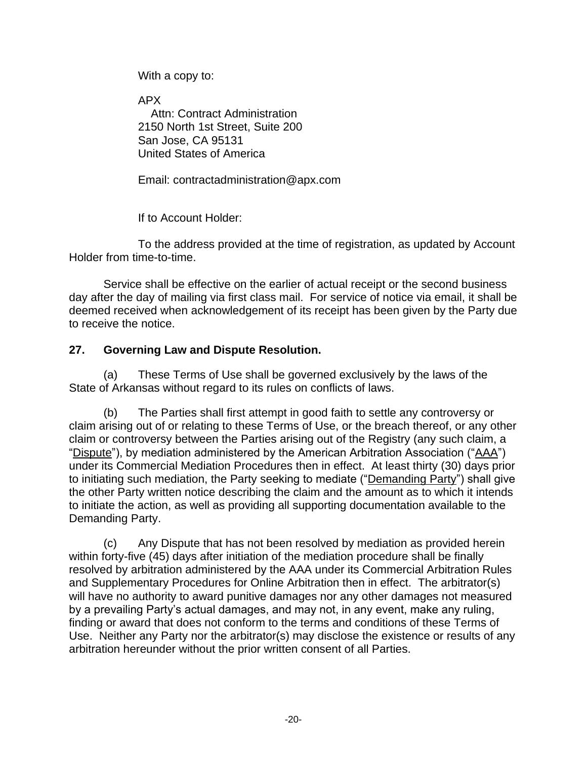With a copy to:

APX Attn: Contract Administration 2150 North 1st Street, Suite 200 San Jose, CA 95131 United States of America

Email: contractadministration@apx.com

If to Account Holder:

To the address provided at the time of registration, as updated by Account Holder from time-to-time.

Service shall be effective on the earlier of actual receipt or the second business day after the day of mailing via first class mail. For service of notice via email, it shall be deemed received when acknowledgement of its receipt has been given by the Party due to receive the notice.

#### **27. Governing Law and Dispute Resolution.**

(a) These Terms of Use shall be governed exclusively by the laws of the State of Arkansas without regard to its rules on conflicts of laws.

(b) The Parties shall first attempt in good faith to settle any controversy or claim arising out of or relating to these Terms of Use, or the breach thereof, or any other claim or controversy between the Parties arising out of the Registry (any such claim, a "Dispute"), by mediation administered by the American Arbitration Association ("AAA") under its Commercial Mediation Procedures then in effect. At least thirty (30) days prior to initiating such mediation, the Party seeking to mediate ("Demanding Party") shall give the other Party written notice describing the claim and the amount as to which it intends to initiate the action, as well as providing all supporting documentation available to the Demanding Party.

(c) Any Dispute that has not been resolved by mediation as provided herein within forty-five (45) days after initiation of the mediation procedure shall be finally resolved by arbitration administered by the AAA under its Commercial Arbitration Rules and Supplementary Procedures for Online Arbitration then in effect. The arbitrator(s) will have no authority to award punitive damages nor any other damages not measured by a prevailing Party's actual damages, and may not, in any event, make any ruling, finding or award that does not conform to the terms and conditions of these Terms of Use. Neither any Party nor the arbitrator(s) may disclose the existence or results of any arbitration hereunder without the prior written consent of all Parties.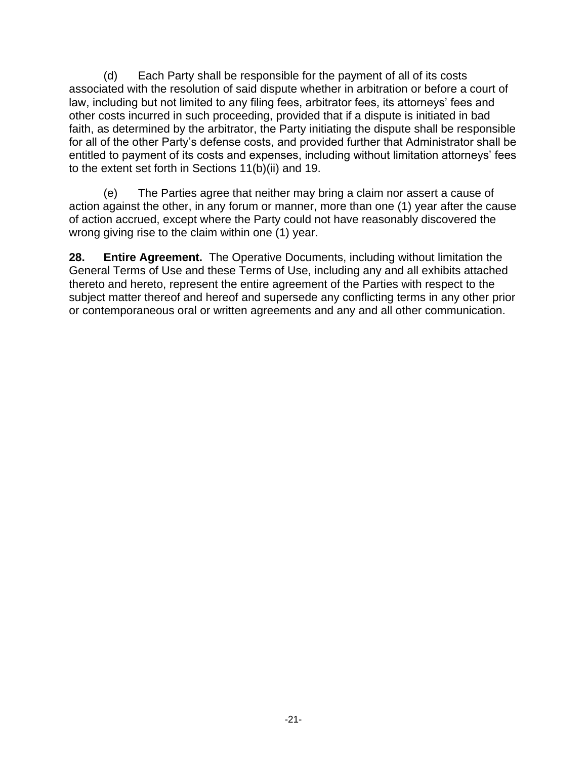(d) Each Party shall be responsible for the payment of all of its costs associated with the resolution of said dispute whether in arbitration or before a court of law, including but not limited to any filing fees, arbitrator fees, its attorneys' fees and other costs incurred in such proceeding, provided that if a dispute is initiated in bad faith, as determined by the arbitrator, the Party initiating the dispute shall be responsible for all of the other Party's defense costs, and provided further that Administrator shall be entitled to payment of its costs and expenses, including without limitation attorneys' fees to the extent set forth in Sections 11(b)(ii) and 19.

(e) The Parties agree that neither may bring a claim nor assert a cause of action against the other, in any forum or manner, more than one (1) year after the cause of action accrued, except where the Party could not have reasonably discovered the wrong giving rise to the claim within one (1) year.

**28. Entire Agreement.** The Operative Documents, including without limitation the General Terms of Use and these Terms of Use, including any and all exhibits attached thereto and hereto, represent the entire agreement of the Parties with respect to the subject matter thereof and hereof and supersede any conflicting terms in any other prior or contemporaneous oral or written agreements and any and all other communication.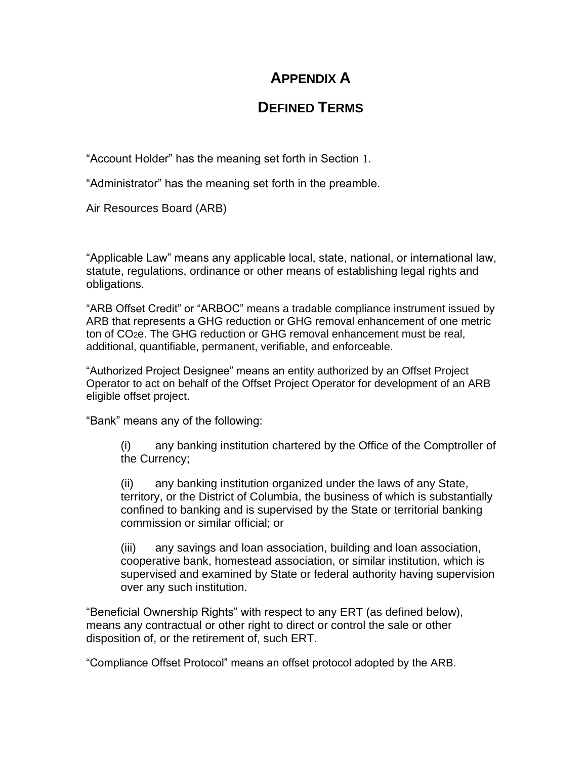# **APPENDIX A**

## **DEFINED TERMS**

"Account Holder" has the meaning set forth in Section 1.

"Administrator" has the meaning set forth in the preamble.

Air Resources Board (ARB)

"Applicable Law" means any applicable local, state, national, or international law, statute, regulations, ordinance or other means of establishing legal rights and obligations.

"ARB Offset Credit" or "ARBOC" means a tradable compliance instrument issued by ARB that represents a GHG reduction or GHG removal enhancement of one metric ton of CO2e. The GHG reduction or GHG removal enhancement must be real, additional, quantifiable, permanent, verifiable, and enforceable.

"Authorized Project Designee" means an entity authorized by an Offset Project Operator to act on behalf of the Offset Project Operator for development of an ARB eligible offset project.

"Bank" means any of the following:

(i) any banking institution chartered by the Office of the Comptroller of the Currency;

(ii) any banking institution organized under the laws of any State, territory, or the District of Columbia, the business of which is substantially confined to banking and is supervised by the State or territorial banking commission or similar official; or

(iii) any savings and loan association, building and loan association, cooperative bank, homestead association, or similar institution, which is supervised and examined by State or federal authority having supervision over any such institution.

"Beneficial Ownership Rights" with respect to any ERT (as defined below), means any contractual or other right to direct or control the sale or other disposition of, or the retirement of, such ERT.

"Compliance Offset Protocol" means an offset protocol adopted by the ARB.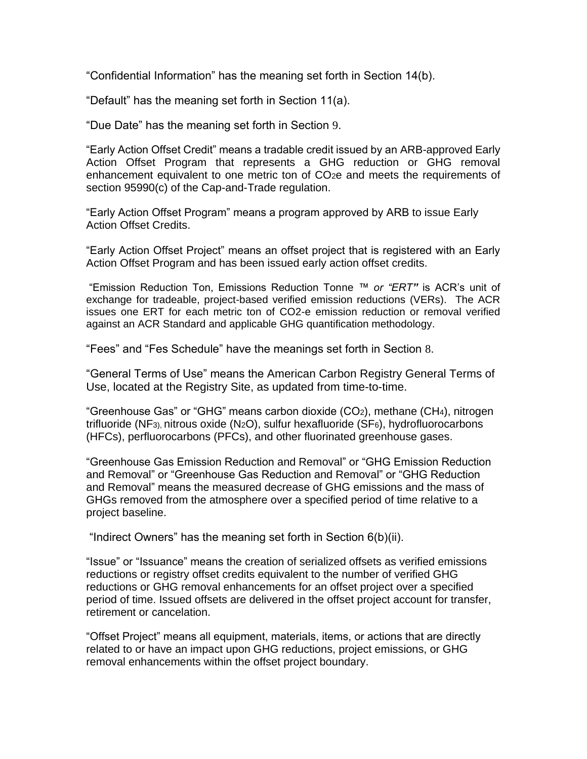"Confidential Information" has the meaning set forth in Section 14(b).

"Default" has the meaning set forth in Section 11(a).

"Due Date" has the meaning set forth in Section 9.

"Early Action Offset Credit" means a tradable credit issued by an ARB-approved Early Action Offset Program that represents a GHG reduction or GHG removal enhancement equivalent to one metric ton of CO2e and meets the requirements of section 95990(c) of the Cap-and-Trade regulation.

"Early Action Offset Program" means a program approved by ARB to issue Early Action Offset Credits.

"Early Action Offset Project" means an offset project that is registered with an Early Action Offset Program and has been issued early action offset credits.

"Emission Reduction Ton, Emissions Reduction Tonne *™ or "ERT"* is ACR's unit of exchange for tradeable, project-based verified emission reductions (VERs). The ACR issues one ERT for each metric ton of CO2-e emission reduction or removal verified against an ACR Standard and applicable GHG quantification methodology.

"Fees" and "Fes Schedule" have the meanings set forth in Section 8.

"General Terms of Use" means the American Carbon Registry General Terms of Use, located at the Registry Site, as updated from time-to-time.

"Greenhouse Gas" or "GHG" means carbon dioxide (CO2), methane (CH4), nitrogen trifluoride (NF3), nitrous oxide (N2O), sulfur hexafluoride (SF6), hydrofluorocarbons (HFCs), perfluorocarbons (PFCs), and other fluorinated greenhouse gases.

"Greenhouse Gas Emission Reduction and Removal" or "GHG Emission Reduction and Removal" or "Greenhouse Gas Reduction and Removal" or "GHG Reduction and Removal" means the measured decrease of GHG emissions and the mass of GHGs removed from the atmosphere over a specified period of time relative to a project baseline.

"Indirect Owners" has the meaning set forth in Section 6(b)(ii).

"Issue" or "Issuance" means the creation of serialized offsets as verified emissions reductions or registry offset credits equivalent to the number of verified GHG reductions or GHG removal enhancements for an offset project over a specified period of time. Issued offsets are delivered in the offset project account for transfer, retirement or cancelation.

"Offset Project" means all equipment, materials, items, or actions that are directly related to or have an impact upon GHG reductions, project emissions, or GHG removal enhancements within the offset project boundary.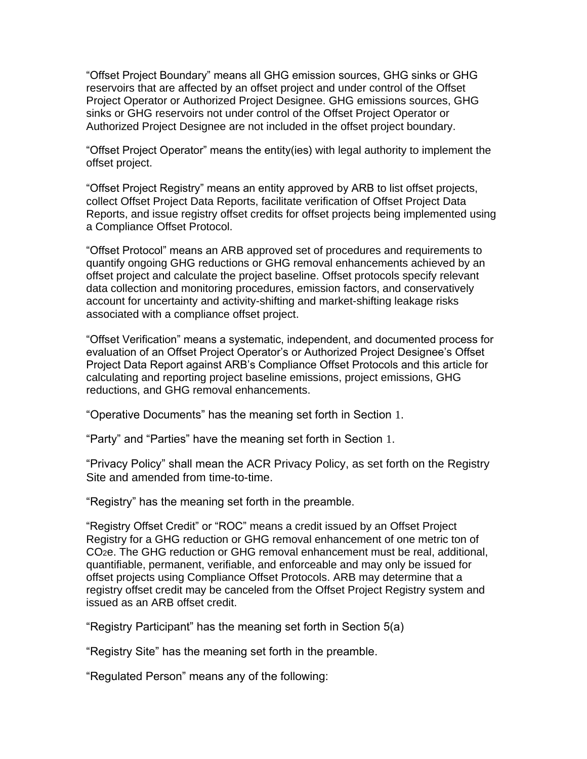"Offset Project Boundary" means all GHG emission sources, GHG sinks or GHG reservoirs that are affected by an offset project and under control of the Offset Project Operator or Authorized Project Designee. GHG emissions sources, GHG sinks or GHG reservoirs not under control of the Offset Project Operator or Authorized Project Designee are not included in the offset project boundary.

"Offset Project Operator" means the entity(ies) with legal authority to implement the offset project.

"Offset Project Registry" means an entity approved by ARB to list offset projects, collect Offset Project Data Reports, facilitate verification of Offset Project Data Reports, and issue registry offset credits for offset projects being implemented using a Compliance Offset Protocol.

"Offset Protocol" means an ARB approved set of procedures and requirements to quantify ongoing GHG reductions or GHG removal enhancements achieved by an offset project and calculate the project baseline. Offset protocols specify relevant data collection and monitoring procedures, emission factors, and conservatively account for uncertainty and activity-shifting and market-shifting leakage risks associated with a compliance offset project.

"Offset Verification" means a systematic, independent, and documented process for evaluation of an Offset Project Operator's or Authorized Project Designee's Offset Project Data Report against ARB's Compliance Offset Protocols and this article for calculating and reporting project baseline emissions, project emissions, GHG reductions, and GHG removal enhancements.

"Operative Documents" has the meaning set forth in Section 1.

"Party" and "Parties" have the meaning set forth in Section 1.

"Privacy Policy" shall mean the ACR Privacy Policy, as set forth on the [Registry](http://vcsregistry.com/)  [Site](http://vcsregistry.com/) and amended from time-to-time.

"Registry" has the meaning set forth in the preamble.

"Registry Offset Credit" or "ROC" means a credit issued by an Offset Project Registry for a GHG reduction or GHG removal enhancement of one metric ton of CO2e. The GHG reduction or GHG removal enhancement must be real, additional, quantifiable, permanent, verifiable, and enforceable and may only be issued for offset projects using Compliance Offset Protocols. ARB may determine that a registry offset credit may be canceled from the Offset Project Registry system and issued as an ARB offset credit.

"Registry Participant" has the meaning set forth in Section 5(a)

"Registry Site" has the meaning set forth in the preamble.

"Regulated Person" means any of the following: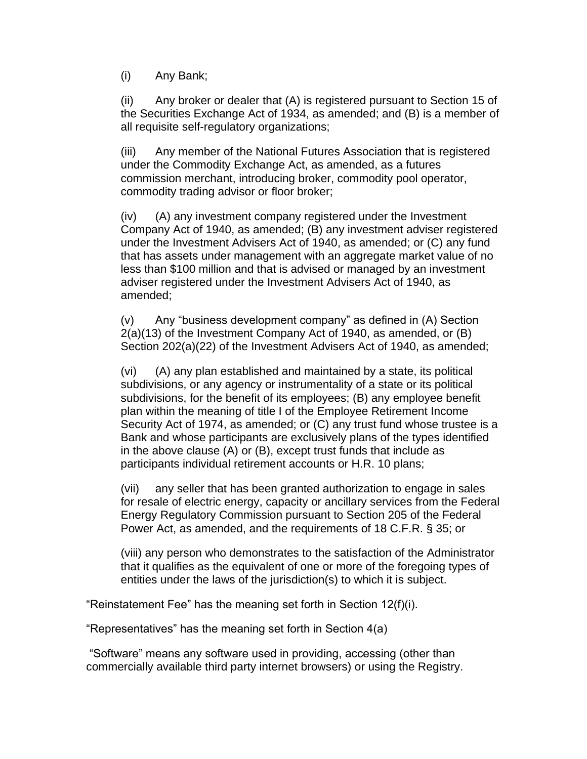(i) Any Bank;

(ii) Any broker or dealer that (A) is registered pursuant to Section 15 of the Securities Exchange Act of 1934, as amended; and (B) is a member of all requisite self-regulatory organizations;

(iii) Any member of the National Futures Association that is registered under the Commodity Exchange Act, as amended, as a futures commission merchant, introducing broker, commodity pool operator, commodity trading advisor or floor broker;

(iv) (A) any investment company registered under the Investment Company Act of 1940, as amended; (B) any investment adviser registered under the Investment Advisers Act of 1940, as amended; or (C) any fund that has assets under management with an aggregate market value of no less than \$100 million and that is advised or managed by an investment adviser registered under the Investment Advisers Act of 1940, as amended;

(v) Any "business development company" as defined in (A) Section 2(a)(13) of the Investment Company Act of 1940, as amended, or (B) Section 202(a)(22) of the Investment Advisers Act of 1940, as amended;

(vi) (A) any plan established and maintained by a state, its political subdivisions, or any agency or instrumentality of a state or its political subdivisions, for the benefit of its employees; (B) any employee benefit plan within the meaning of title I of the Employee Retirement Income Security Act of 1974, as amended; or (C) any trust fund whose trustee is a Bank and whose participants are exclusively plans of the types identified in the above clause (A) or (B), except trust funds that include as participants individual retirement accounts or H.R. 10 plans;

(vii) any seller that has been granted authorization to engage in sales for resale of electric energy, capacity or ancillary services from the Federal Energy Regulatory Commission pursuant to Section 205 of the Federal Power Act, as amended, and the requirements of 18 C.F.R. § 35; or

(viii) any person who demonstrates to the satisfaction of the Administrator that it qualifies as the equivalent of one or more of the foregoing types of entities under the laws of the jurisdiction(s) to which it is subject.

"Reinstatement Fee" has the meaning set forth in Section 12(f)(i).

"Representatives" has the meaning set forth in Section 4(a)

"Software" means any software used in providing, accessing (other than commercially available third party internet browsers) or using the Registry.